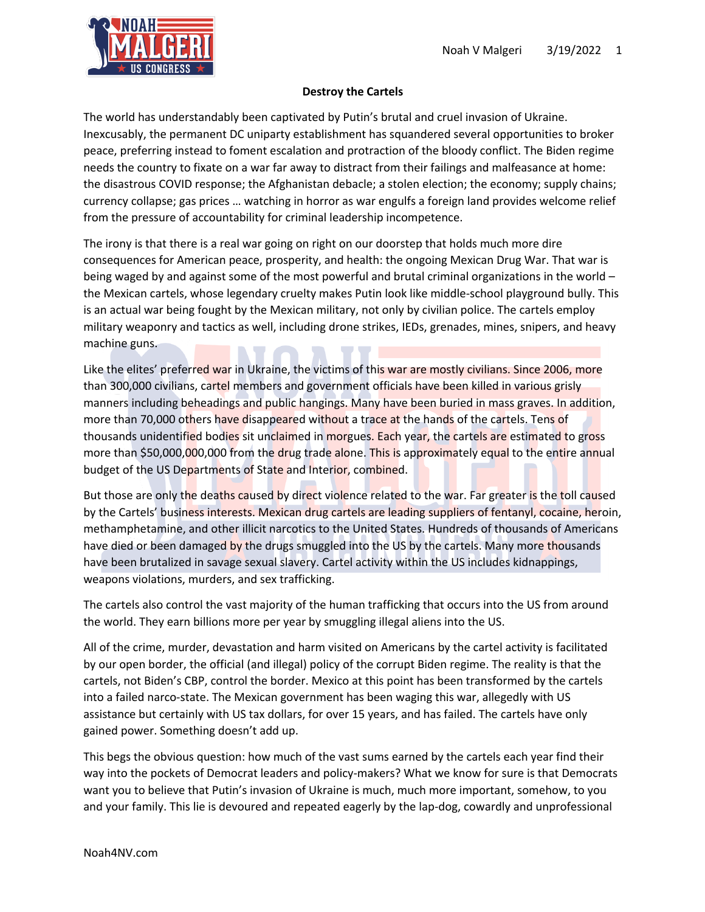

## **Destroy the Cartels**

The world has understandably been captivated by Putin's brutal and cruel invasion of Ukraine. Inexcusably, the permanent DC uniparty establishment has squandered several opportunities to broker peace, preferring instead to foment escalation and protraction of the bloody conflict. The Biden regime needs the country to fixate on a war far away to distract from their failings and malfeasance at home: the disastrous COVID response; the Afghanistan debacle; a stolen election; the economy; supply chains; currency collapse; gas prices … watching in horror as war engulfs a foreign land provides welcome relief from the pressure of accountability for criminal leadership incompetence.

The irony is that there is a real war going on right on our doorstep that holds much more dire consequences for American peace, prosperity, and health: the ongoing Mexican Drug War. That war is being waged by and against some of the most powerful and brutal criminal organizations in the world – the Mexican cartels, whose legendary cruelty makes Putin look like middle-school playground bully. This is an actual war being fought by the Mexican military, not only by civilian police. The cartels employ military weaponry and tactics as well, including drone strikes, IEDs, grenades, mines, snipers, and heavy machine guns.

Like the elites' preferred war in Ukraine, the victims of this war are mostly civilians. Since 2006, more than 300,000 civilians, cartel members and government officials have been killed in various grisly manners including beheadings and public hangings. Many have been buried in mass graves. In addition, more than 70,000 others have disappeared without a trace at the hands of the cartels. Tens of thousands unidentified bodies sit unclaimed in morgues. Each year, the cartels are estimated to gross more than \$50,000,000,000 from the drug trade alone. This is approximately equal to the entire annual budget of the US Departments of State and Interior, combined.

But those are only the deaths caused by direct violence related to the war. Far greater is the toll caused by the Cartels' business interests. Mexican drug cartels are leading suppliers of fentanyl, cocaine, heroin, methamphetamine, and other illicit narcotics to the United States. Hundreds of thousands of Americans have died or been damaged by the drugs smuggled into the US by the cartels. Many more thousands have been brutalized in savage sexual slavery. Cartel activity within the US includes kidnappings, weapons violations, murders, and sex trafficking.

The cartels also control the vast majority of the human trafficking that occurs into the US from around the world. They earn billions more per year by smuggling illegal aliens into the US.

All of the crime, murder, devastation and harm visited on Americans by the cartel activity is facilitated by our open border, the official (and illegal) policy of the corrupt Biden regime. The reality is that the cartels, not Biden's CBP, control the border. Mexico at this point has been transformed by the cartels into a failed narco-state. The Mexican government has been waging this war, allegedly with US assistance but certainly with US tax dollars, for over 15 years, and has failed. The cartels have only gained power. Something doesn't add up.

This begs the obvious question: how much of the vast sums earned by the cartels each year find their way into the pockets of Democrat leaders and policy-makers? What we know for sure is that Democrats want you to believe that Putin's invasion of Ukraine is much, much more important, somehow, to you and your family. This lie is devoured and repeated eagerly by the lap-dog, cowardly and unprofessional